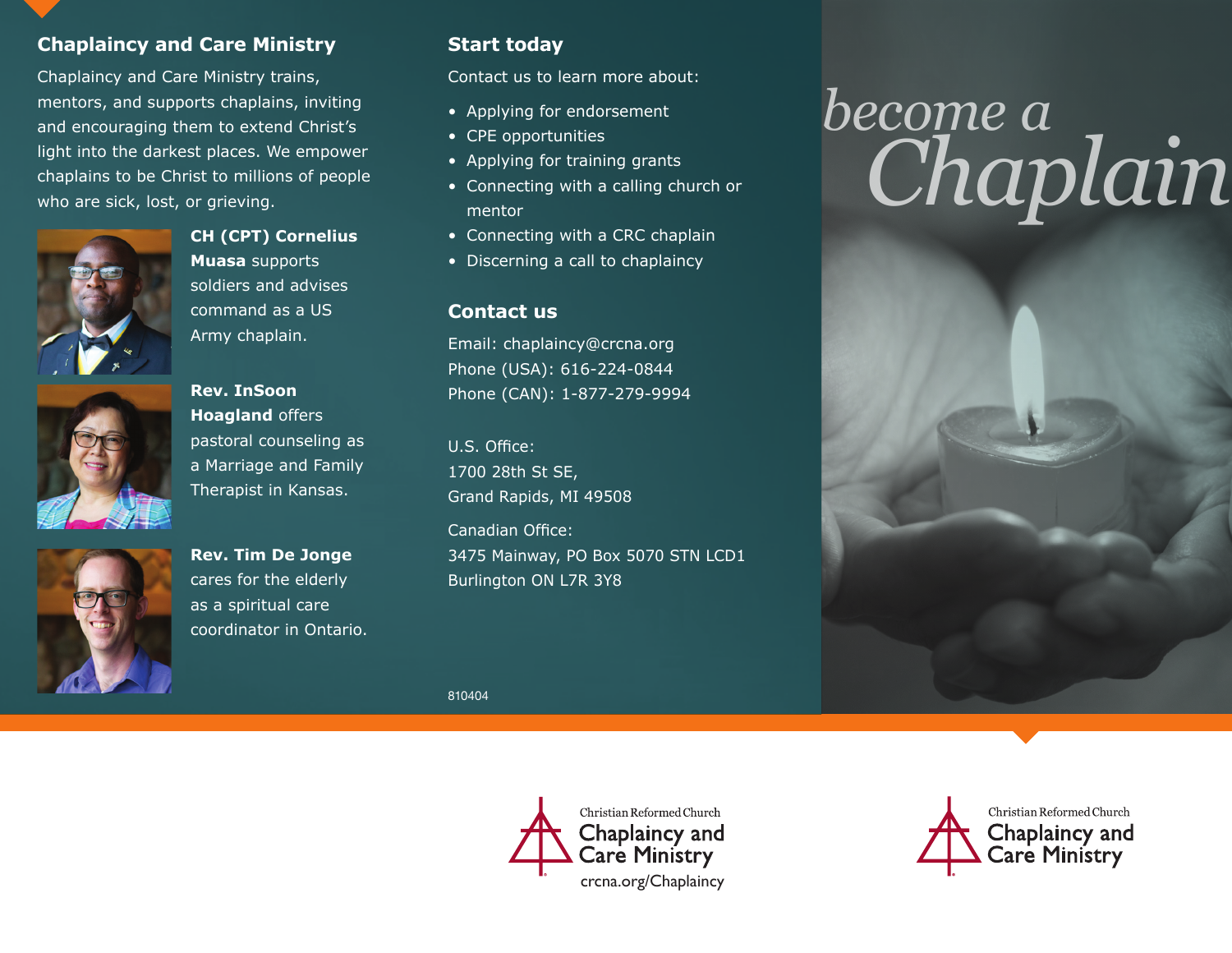## **Chaplaincy and Care Ministry**

Chaplaincy and Care Ministry trains, mentors, and supports chaplains, inviting and encouraging them to extend Christ's light into the darkest places. We empower chaplains to be Christ to millions of people who are sick, lost, or grieving.



**CH (CPT) Cornelius Muasa** supports soldiers and advises command as a US Army chaplain.



**Rev. InSoon Hoagland** offers pastoral counseling as a Marriage and Family Therapist in Kansas.



**Rev. Tim De Jonge**  cares for the elderly as a spiritual care coordinator in Ontario.

# **Start today**

Contact us to learn more about:

- Applying for endorsement
- CPE opportunities
- Applying for training grants
- Connecting with a calling church or mentor
- Connecting with a CRC chaplain
- Discerning a call to chaplaincy

#### **Contact us**

Email: chaplaincy@crcna.org Phone (USA): 616-224-0844 Phone (CAN): 1-877-279-9994

U.S. Office: 1700 28th St SE, Grand Rapids, MI 49508

Canadian Office: 3475 Mainway, PO Box 5070 STN LCD1 Burlington ON L7R 3Y8

810404



# *become a Chaplain*